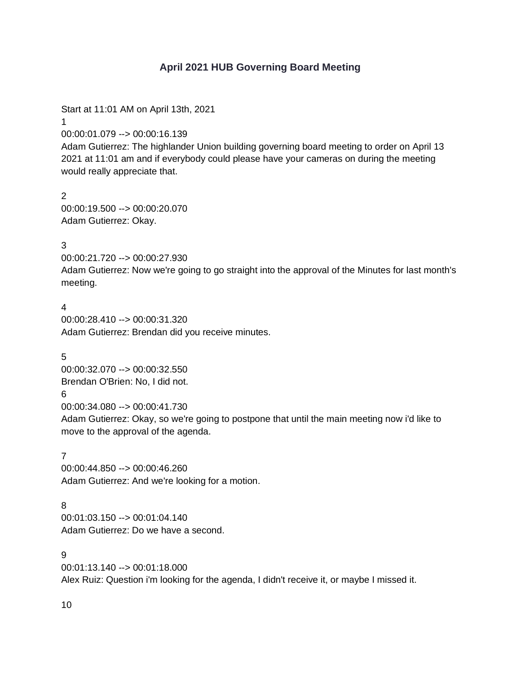# **April 2021 HUB Governing Board Meeting**

Start at 11:01 AM on April 13th, 2021

1

00:00:01.079 --> 00:00:16.139

Adam Gutierrez: The highlander Union building governing board meeting to order on April 13 2021 at 11:01 am and if everybody could please have your cameras on during the meeting would really appreciate that.

2 00:00:19.500 --> 00:00:20.070 Adam Gutierrez: Okay.

### 3

00:00:21.720 --> 00:00:27.930

Adam Gutierrez: Now we're going to go straight into the approval of the Minutes for last month's meeting.

## 4

00:00:28.410 --> 00:00:31.320 Adam Gutierrez: Brendan did you receive minutes.

5 00:00:32.070 --> 00:00:32.550 Brendan O'Brien: No, I did not. 6 00:00:34.080 --> 00:00:41.730

Adam Gutierrez: Okay, so we're going to postpone that until the main meeting now i'd like to move to the approval of the agenda.

### 7

00:00:44.850 --> 00:00:46.260 Adam Gutierrez: And we're looking for a motion.

## 8

00:01:03.150 --> 00:01:04.140 Adam Gutierrez: Do we have a second.

 $\mathbf{Q}$ 00:01:13.140 --> 00:01:18.000 Alex Ruiz: Question i'm looking for the agenda, I didn't receive it, or maybe I missed it.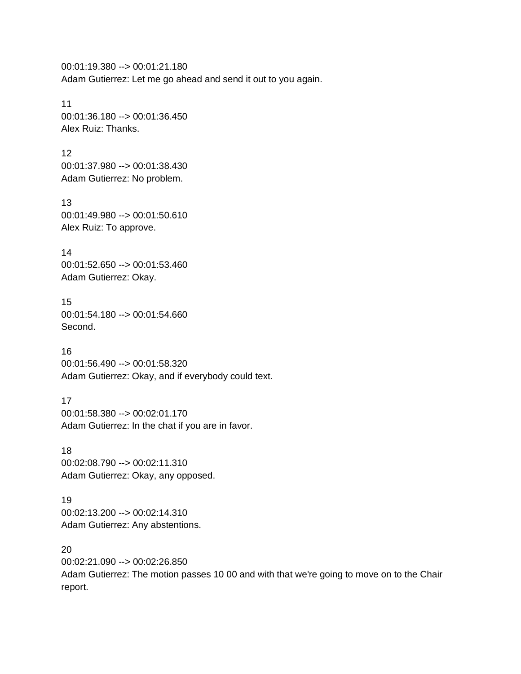00:01:19.380 --> 00:01:21.180 Adam Gutierrez: Let me go ahead and send it out to you again.

11 00:01:36.180 --> 00:01:36.450 Alex Ruiz: Thanks.

12 00:01:37.980 --> 00:01:38.430 Adam Gutierrez: No problem.

13 00:01:49.980 --> 00:01:50.610 Alex Ruiz: To approve.

14 00:01:52.650 --> 00:01:53.460 Adam Gutierrez: Okay.

15 00:01:54.180 --> 00:01:54.660 Second.

16 00:01:56.490 --> 00:01:58.320 Adam Gutierrez: Okay, and if everybody could text.

17 00:01:58.380 --> 00:02:01.170 Adam Gutierrez: In the chat if you are in favor.

18 00:02:08.790 --> 00:02:11.310 Adam Gutierrez: Okay, any opposed.

19 00:02:13.200 --> 00:02:14.310 Adam Gutierrez: Any abstentions.

20 00:02:21.090 --> 00:02:26.850 Adam Gutierrez: The motion passes 10 00 and with that we're going to move on to the Chair report.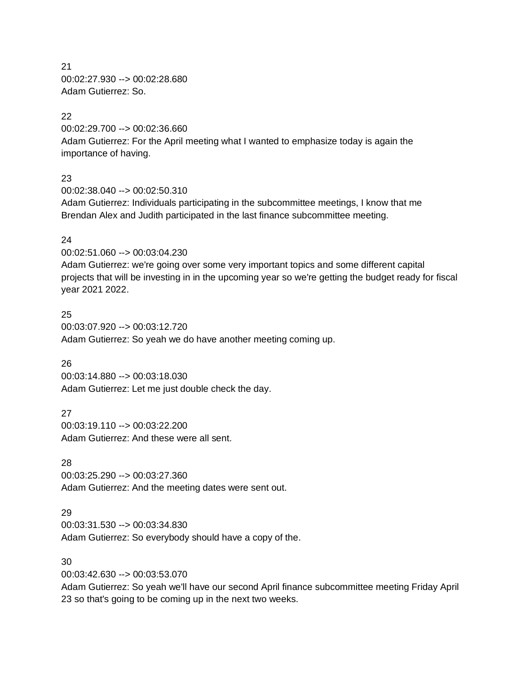21 00:02:27.930 --> 00:02:28.680 Adam Gutierrez: So.

### 22

00:02:29.700 --> 00:02:36.660 Adam Gutierrez: For the April meeting what I wanted to emphasize today is again the importance of having.

### 23

00:02:38.040 --> 00:02:50.310

Adam Gutierrez: Individuals participating in the subcommittee meetings, I know that me Brendan Alex and Judith participated in the last finance subcommittee meeting.

### 24

00:02:51.060 --> 00:03:04.230

Adam Gutierrez: we're going over some very important topics and some different capital projects that will be investing in in the upcoming year so we're getting the budget ready for fiscal year 2021 2022.

25 00:03:07.920 --> 00:03:12.720 Adam Gutierrez: So yeah we do have another meeting coming up.

## 26

00:03:14.880 --> 00:03:18.030 Adam Gutierrez: Let me just double check the day.

27 00:03:19.110 --> 00:03:22.200 Adam Gutierrez: And these were all sent.

### 28

00:03:25.290 --> 00:03:27.360 Adam Gutierrez: And the meeting dates were sent out.

## 29

00:03:31.530 --> 00:03:34.830 Adam Gutierrez: So everybody should have a copy of the.

### 30

00:03:42.630 --> 00:03:53.070

Adam Gutierrez: So yeah we'll have our second April finance subcommittee meeting Friday April 23 so that's going to be coming up in the next two weeks.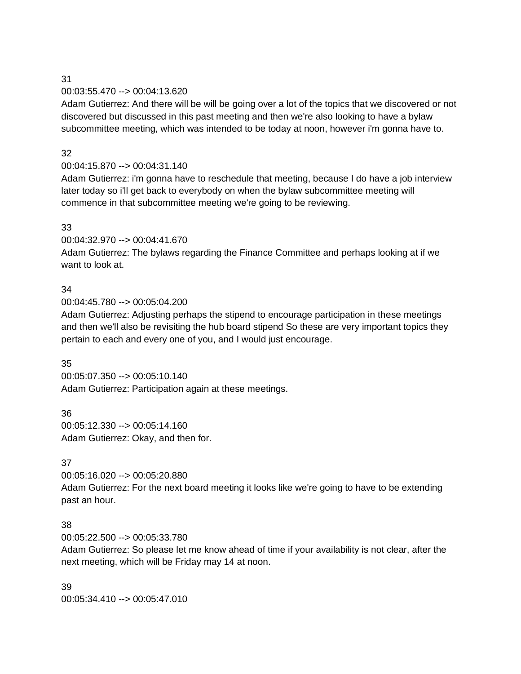# 31 00:03:55.470 --> 00:04:13.620

Adam Gutierrez: And there will be will be going over a lot of the topics that we discovered or not discovered but discussed in this past meeting and then we're also looking to have a bylaw subcommittee meeting, which was intended to be today at noon, however i'm gonna have to.

# 32

# 00:04:15.870 --> 00:04:31.140

Adam Gutierrez: i'm gonna have to reschedule that meeting, because I do have a job interview later today so i'll get back to everybody on when the bylaw subcommittee meeting will commence in that subcommittee meeting we're going to be reviewing.

# 33

00:04:32.970 --> 00:04:41.670

Adam Gutierrez: The bylaws regarding the Finance Committee and perhaps looking at if we want to look at.

# 34

00:04:45.780 --> 00:05:04.200

Adam Gutierrez: Adjusting perhaps the stipend to encourage participation in these meetings and then we'll also be revisiting the hub board stipend So these are very important topics they pertain to each and every one of you, and I would just encourage.

# 35

00:05:07.350 --> 00:05:10.140 Adam Gutierrez: Participation again at these meetings.

36 00:05:12.330 --> 00:05:14.160 Adam Gutierrez: Okay, and then for.

## 37

00:05:16.020 --> 00:05:20.880 Adam Gutierrez: For the next board meeting it looks like we're going to have to be extending past an hour.

## 38

00:05:22.500 --> 00:05:33.780

Adam Gutierrez: So please let me know ahead of time if your availability is not clear, after the next meeting, which will be Friday may 14 at noon.

39 00:05:34.410 --> 00:05:47.010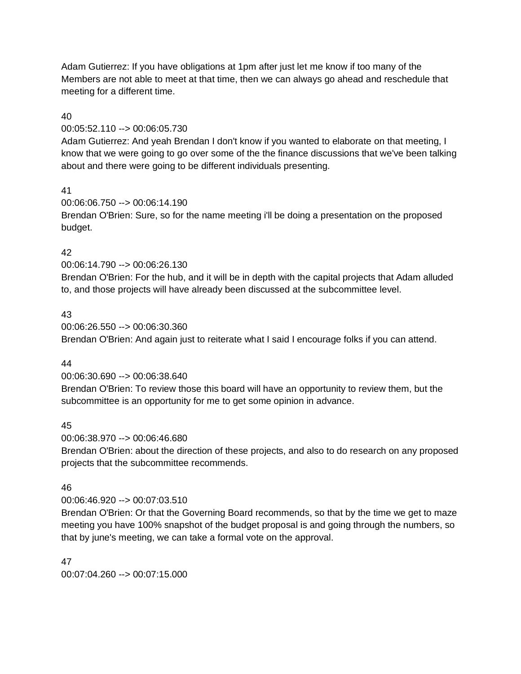Adam Gutierrez: If you have obligations at 1pm after just let me know if too many of the Members are not able to meet at that time, then we can always go ahead and reschedule that meeting for a different time.

# 40

## 00:05:52.110 --> 00:06:05.730

Adam Gutierrez: And yeah Brendan I don't know if you wanted to elaborate on that meeting, I know that we were going to go over some of the the finance discussions that we've been talking about and there were going to be different individuals presenting.

## 41

00:06:06.750 --> 00:06:14.190 Brendan O'Brien: Sure, so for the name meeting i'll be doing a presentation on the proposed budget.

# 42

00:06:14.790 --> 00:06:26.130

Brendan O'Brien: For the hub, and it will be in depth with the capital projects that Adam alluded to, and those projects will have already been discussed at the subcommittee level.

# 43

00:06:26.550 --> 00:06:30.360 Brendan O'Brien: And again just to reiterate what I said I encourage folks if you can attend.

## 44

00:06:30.690 --> 00:06:38.640

Brendan O'Brien: To review those this board will have an opportunity to review them, but the subcommittee is an opportunity for me to get some opinion in advance.

## 45

00:06:38.970 --> 00:06:46.680

Brendan O'Brien: about the direction of these projects, and also to do research on any proposed projects that the subcommittee recommends.

## 46

00:06:46.920 --> 00:07:03.510

Brendan O'Brien: Or that the Governing Board recommends, so that by the time we get to maze meeting you have 100% snapshot of the budget proposal is and going through the numbers, so that by june's meeting, we can take a formal vote on the approval.

### 47

00:07:04.260 --> 00:07:15.000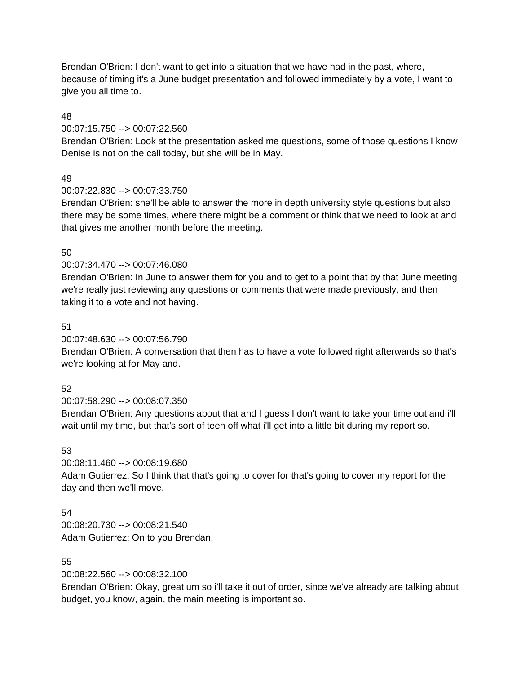Brendan O'Brien: I don't want to get into a situation that we have had in the past, where, because of timing it's a June budget presentation and followed immediately by a vote, I want to give you all time to.

### 48

### 00:07:15.750 --> 00:07:22.560

Brendan O'Brien: Look at the presentation asked me questions, some of those questions I know Denise is not on the call today, but she will be in May.

### 49

### 00:07:22.830 --> 00:07:33.750

Brendan O'Brien: she'll be able to answer the more in depth university style questions but also there may be some times, where there might be a comment or think that we need to look at and that gives me another month before the meeting.

### 50

### 00:07:34.470 --> 00:07:46.080

Brendan O'Brien: In June to answer them for you and to get to a point that by that June meeting we're really just reviewing any questions or comments that were made previously, and then taking it to a vote and not having.

### 51

### 00:07:48.630 --> 00:07:56.790

Brendan O'Brien: A conversation that then has to have a vote followed right afterwards so that's we're looking at for May and.

### 52

### 00:07:58.290 --> 00:08:07.350

Brendan O'Brien: Any questions about that and I guess I don't want to take your time out and i'll wait until my time, but that's sort of teen off what i'll get into a little bit during my report so.

## 53

00:08:11.460 --> 00:08:19.680 Adam Gutierrez: So I think that that's going to cover for that's going to cover my report for the day and then we'll move.

### 54

00:08:20.730 --> 00:08:21.540 Adam Gutierrez: On to you Brendan.

### 55

## 00:08:22.560 --> 00:08:32.100

Brendan O'Brien: Okay, great um so i'll take it out of order, since we've already are talking about budget, you know, again, the main meeting is important so.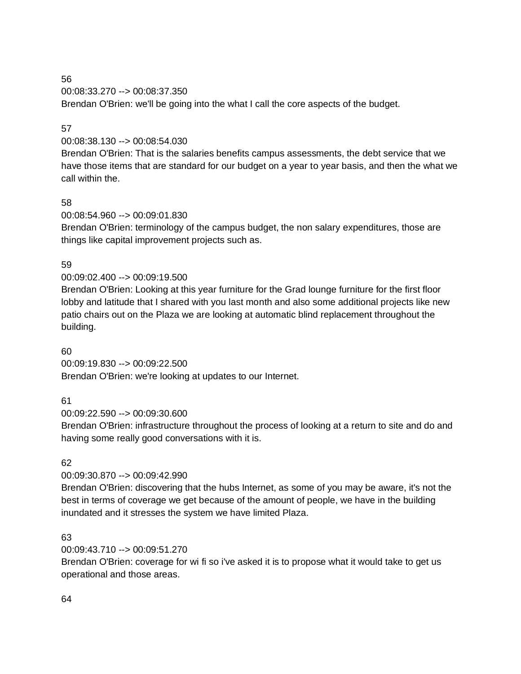56 00:08:33.270 --> 00:08:37.350 Brendan O'Brien: we'll be going into the what I call the core aspects of the budget.

# 57

# 00:08:38.130 --> 00:08:54.030

Brendan O'Brien: That is the salaries benefits campus assessments, the debt service that we have those items that are standard for our budget on a year to year basis, and then the what we call within the.

## 58

# 00:08:54.960 --> 00:09:01.830

Brendan O'Brien: terminology of the campus budget, the non salary expenditures, those are things like capital improvement projects such as.

# 59

# 00:09:02.400 --> 00:09:19.500

Brendan O'Brien: Looking at this year furniture for the Grad lounge furniture for the first floor lobby and latitude that I shared with you last month and also some additional projects like new patio chairs out on the Plaza we are looking at automatic blind replacement throughout the building.

## 60

# 00:09:19.830 --> 00:09:22.500

Brendan O'Brien: we're looking at updates to our Internet.

## 61

## 00:09:22.590 --> 00:09:30.600

Brendan O'Brien: infrastructure throughout the process of looking at a return to site and do and having some really good conversations with it is.

# 62

# 00:09:30.870 --> 00:09:42.990

Brendan O'Brien: discovering that the hubs Internet, as some of you may be aware, it's not the best in terms of coverage we get because of the amount of people, we have in the building inundated and it stresses the system we have limited Plaza.

## 63

# 00:09:43.710 --> 00:09:51.270

Brendan O'Brien: coverage for wi fi so i've asked it is to propose what it would take to get us operational and those areas.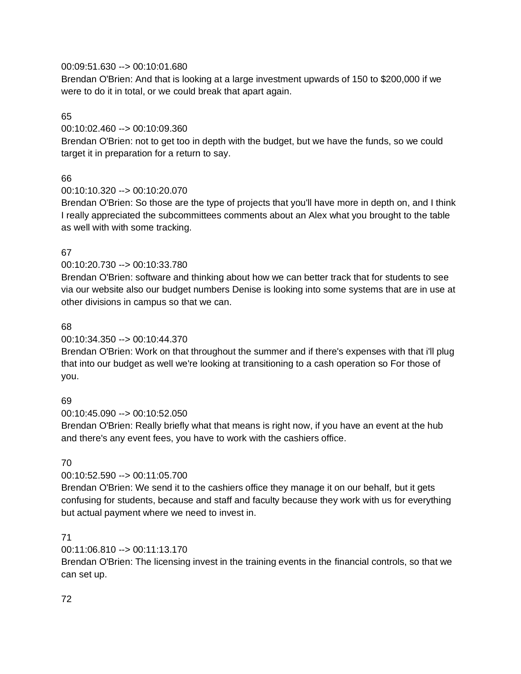### 00:09:51.630 --> 00:10:01.680

Brendan O'Brien: And that is looking at a large investment upwards of 150 to \$200,000 if we were to do it in total, or we could break that apart again.

### 65

### 00:10:02.460 --> 00:10:09.360

Brendan O'Brien: not to get too in depth with the budget, but we have the funds, so we could target it in preparation for a return to say.

# 66

## 00:10:10.320 --> 00:10:20.070

Brendan O'Brien: So those are the type of projects that you'll have more in depth on, and I think I really appreciated the subcommittees comments about an Alex what you brought to the table as well with with some tracking.

# 67

# 00:10:20.730 --> 00:10:33.780

Brendan O'Brien: software and thinking about how we can better track that for students to see via our website also our budget numbers Denise is looking into some systems that are in use at other divisions in campus so that we can.

## 68

# 00:10:34.350 --> 00:10:44.370

Brendan O'Brien: Work on that throughout the summer and if there's expenses with that i'll plug that into our budget as well we're looking at transitioning to a cash operation so For those of you.

## 69

00:10:45.090 --> 00:10:52.050

Brendan O'Brien: Really briefly what that means is right now, if you have an event at the hub and there's any event fees, you have to work with the cashiers office.

## 70

# 00:10:52.590 --> 00:11:05.700

Brendan O'Brien: We send it to the cashiers office they manage it on our behalf, but it gets confusing for students, because and staff and faculty because they work with us for everything but actual payment where we need to invest in.

## 71

## 00:11:06.810 --> 00:11:13.170

Brendan O'Brien: The licensing invest in the training events in the financial controls, so that we can set up.

## 72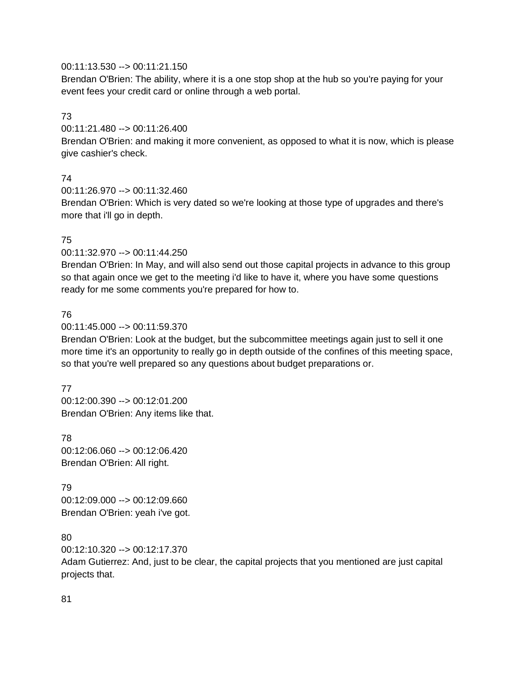### 00:11:13.530 --> 00:11:21.150

Brendan O'Brien: The ability, where it is a one stop shop at the hub so you're paying for your event fees your credit card or online through a web portal.

### 73

00:11:21.480 --> 00:11:26.400

Brendan O'Brien: and making it more convenient, as opposed to what it is now, which is please give cashier's check.

### 74

00:11:26.970 --> 00:11:32.460

Brendan O'Brien: Which is very dated so we're looking at those type of upgrades and there's more that i'll go in depth.

### 75

### 00:11:32.970 --> 00:11:44.250

Brendan O'Brien: In May, and will also send out those capital projects in advance to this group so that again once we get to the meeting i'd like to have it, where you have some questions ready for me some comments you're prepared for how to.

### 76

### 00:11:45.000 --> 00:11:59.370

Brendan O'Brien: Look at the budget, but the subcommittee meetings again just to sell it one more time it's an opportunity to really go in depth outside of the confines of this meeting space, so that you're well prepared so any questions about budget preparations or.

### 77

00:12:00.390 --> 00:12:01.200 Brendan O'Brien: Any items like that.

78

00:12:06.060 --> 00:12:06.420 Brendan O'Brien: All right.

79 00:12:09.000 --> 00:12:09.660 Brendan O'Brien: yeah i've got.

### 80

00:12:10.320 --> 00:12:17.370

Adam Gutierrez: And, just to be clear, the capital projects that you mentioned are just capital projects that.

### 81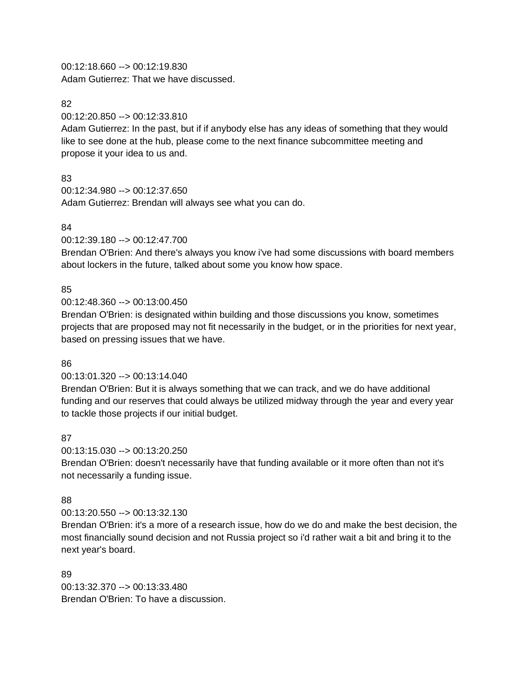00:12:18.660 --> 00:12:19.830 Adam Gutierrez: That we have discussed.

### 82

00:12:20.850 --> 00:12:33.810

Adam Gutierrez: In the past, but if if anybody else has any ideas of something that they would like to see done at the hub, please come to the next finance subcommittee meeting and propose it your idea to us and.

### 83

00:12:34.980 --> 00:12:37.650 Adam Gutierrez: Brendan will always see what you can do.

### 84

00:12:39.180 --> 00:12:47.700

Brendan O'Brien: And there's always you know i've had some discussions with board members about lockers in the future, talked about some you know how space.

### 85

00:12:48.360 --> 00:13:00.450

Brendan O'Brien: is designated within building and those discussions you know, sometimes projects that are proposed may not fit necessarily in the budget, or in the priorities for next year, based on pressing issues that we have.

### 86

00:13:01.320 --> 00:13:14.040

Brendan O'Brien: But it is always something that we can track, and we do have additional funding and our reserves that could always be utilized midway through the year and every year to tackle those projects if our initial budget.

### 87

00:13:15.030 --> 00:13:20.250

Brendan O'Brien: doesn't necessarily have that funding available or it more often than not it's not necessarily a funding issue.

### 88

00:13:20.550 --> 00:13:32.130

Brendan O'Brien: it's a more of a research issue, how do we do and make the best decision, the most financially sound decision and not Russia project so i'd rather wait a bit and bring it to the next year's board.

89 00:13:32.370 --> 00:13:33.480 Brendan O'Brien: To have a discussion.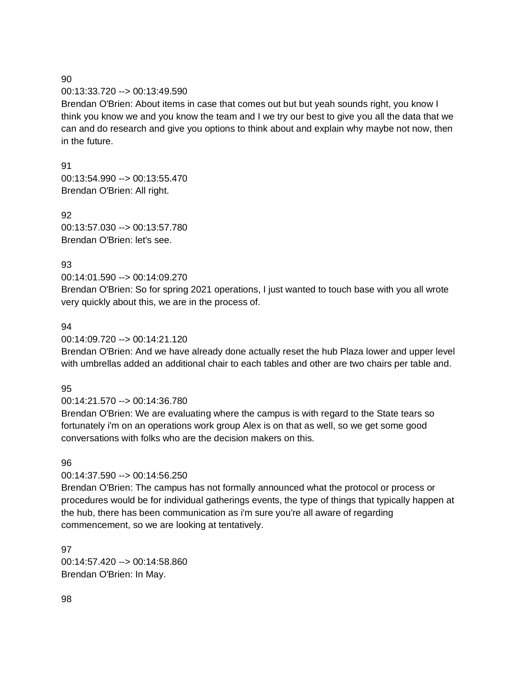#### 00:13:33.720 --> 00:13:49.590

Brendan O'Brien: About items in case that comes out but but yeah sounds right, you know I think you know we and you know the team and I we try our best to give you all the data that we can and do research and give you options to think about and explain why maybe not now, then in the future.

91

00:13:54.990 --> 00:13:55.470 Brendan O'Brien: All right.

92 00:13:57.030 --> 00:13:57.780 Brendan O'Brien: let's see.

#### 93

00:14:01.590 --> 00:14:09.270

Brendan O'Brien: So for spring 2021 operations, I just wanted to touch base with you all wrote very quickly about this, we are in the process of.

#### 94

00:14:09.720 --> 00:14:21.120

Brendan O'Brien: And we have already done actually reset the hub Plaza lower and upper level with umbrellas added an additional chair to each tables and other are two chairs per table and.

### 95

00:14:21.570 --> 00:14:36.780

Brendan O'Brien: We are evaluating where the campus is with regard to the State tears so fortunately i'm on an operations work group Alex is on that as well, so we get some good conversations with folks who are the decision makers on this.

# 96

# 00:14:37.590 --> 00:14:56.250

Brendan O'Brien: The campus has not formally announced what the protocol or process or procedures would be for individual gatherings events, the type of things that typically happen at the hub, there has been communication as i'm sure you're all aware of regarding commencement, so we are looking at tentatively.

97 00:14:57.420 --> 00:14:58.860 Brendan O'Brien: In May.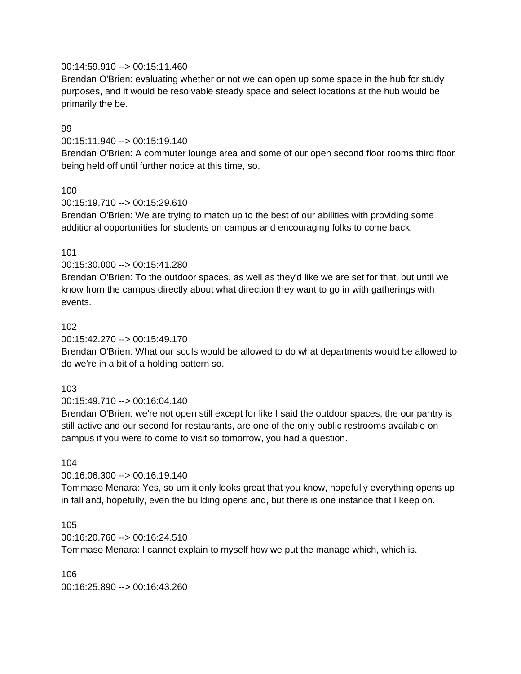### 00:14:59.910 --> 00:15:11.460

Brendan O'Brien: evaluating whether or not we can open up some space in the hub for study purposes, and it would be resolvable steady space and select locations at the hub would be primarily the be.

### 99

## 00:15:11.940 --> 00:15:19.140

Brendan O'Brien: A commuter lounge area and some of our open second floor rooms third floor being held off until further notice at this time, so.

### 100

#### 00:15:19.710 --> 00:15:29.610

Brendan O'Brien: We are trying to match up to the best of our abilities with providing some additional opportunities for students on campus and encouraging folks to come back.

### 101

#### 00:15:30.000 --> 00:15:41.280

Brendan O'Brien: To the outdoor spaces, as well as they'd like we are set for that, but until we know from the campus directly about what direction they want to go in with gatherings with events.

#### 102

### 00:15:42.270 --> 00:15:49.170

Brendan O'Brien: What our souls would be allowed to do what departments would be allowed to do we're in a bit of a holding pattern so.

### 103

### 00:15:49.710 --> 00:16:04.140

Brendan O'Brien: we're not open still except for like I said the outdoor spaces, the our pantry is still active and our second for restaurants, are one of the only public restrooms available on campus if you were to come to visit so tomorrow, you had a question.

### 104

### 00:16:06.300 --> 00:16:19.140

Tommaso Menara: Yes, so um it only looks great that you know, hopefully everything opens up in fall and, hopefully, even the building opens and, but there is one instance that I keep on.

### 105

00:16:20.760 --> 00:16:24.510

Tommaso Menara: I cannot explain to myself how we put the manage which, which is.

## 106 00:16:25.890 --> 00:16:43.260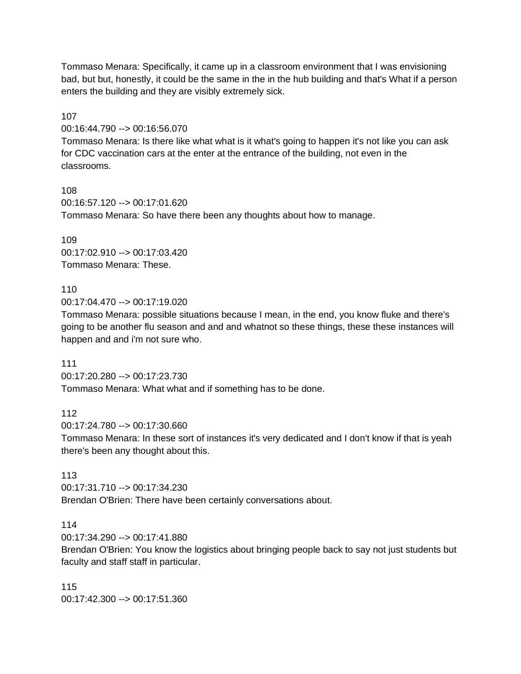Tommaso Menara: Specifically, it came up in a classroom environment that I was envisioning bad, but but, honestly, it could be the same in the in the hub building and that's What if a person enters the building and they are visibly extremely sick.

107

00:16:44.790 --> 00:16:56.070

Tommaso Menara: Is there like what what is it what's going to happen it's not like you can ask for CDC vaccination cars at the enter at the entrance of the building, not even in the classrooms.

108 00:16:57.120 --> 00:17:01.620 Tommaso Menara: So have there been any thoughts about how to manage.

109 00:17:02.910 --> 00:17:03.420 Tommaso Menara: These.

110 00:17:04.470 --> 00:17:19.020

Tommaso Menara: possible situations because I mean, in the end, you know fluke and there's going to be another flu season and and and whatnot so these things, these these instances will happen and and i'm not sure who.

111

00:17:20.280 --> 00:17:23.730 Tommaso Menara: What what and if something has to be done.

112 00:17:24.780 --> 00:17:30.660

Tommaso Menara: In these sort of instances it's very dedicated and I don't know if that is yeah there's been any thought about this.

113 00:17:31.710 --> 00:17:34.230 Brendan O'Brien: There have been certainly conversations about.

114

00:17:34.290 --> 00:17:41.880

Brendan O'Brien: You know the logistics about bringing people back to say not just students but faculty and staff staff in particular.

115 00:17:42.300 --> 00:17:51.360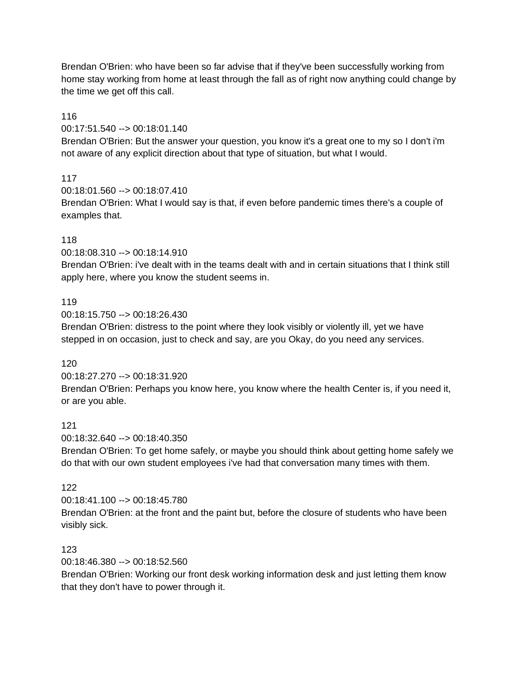Brendan O'Brien: who have been so far advise that if they've been successfully working from home stay working from home at least through the fall as of right now anything could change by the time we get off this call.

### 116

00:17:51.540 --> 00:18:01.140

Brendan O'Brien: But the answer your question, you know it's a great one to my so I don't i'm not aware of any explicit direction about that type of situation, but what I would.

# 117

00:18:01.560 --> 00:18:07.410

Brendan O'Brien: What I would say is that, if even before pandemic times there's a couple of examples that.

# 118

00:18:08.310 --> 00:18:14.910

Brendan O'Brien: i've dealt with in the teams dealt with and in certain situations that I think still apply here, where you know the student seems in.

## 119

00:18:15.750 --> 00:18:26.430

Brendan O'Brien: distress to the point where they look visibly or violently ill, yet we have stepped in on occasion, just to check and say, are you Okay, do you need any services.

## 120

00:18:27.270 --> 00:18:31.920 Brendan O'Brien: Perhaps you know here, you know where the health Center is, if you need it, or are you able.

## 121

00:18:32.640 --> 00:18:40.350

Brendan O'Brien: To get home safely, or maybe you should think about getting home safely we do that with our own student employees i've had that conversation many times with them.

## 122

00:18:41.100 --> 00:18:45.780 Brendan O'Brien: at the front and the paint but, before the closure of students who have been visibly sick.

## 123

00:18:46.380 --> 00:18:52.560

Brendan O'Brien: Working our front desk working information desk and just letting them know that they don't have to power through it.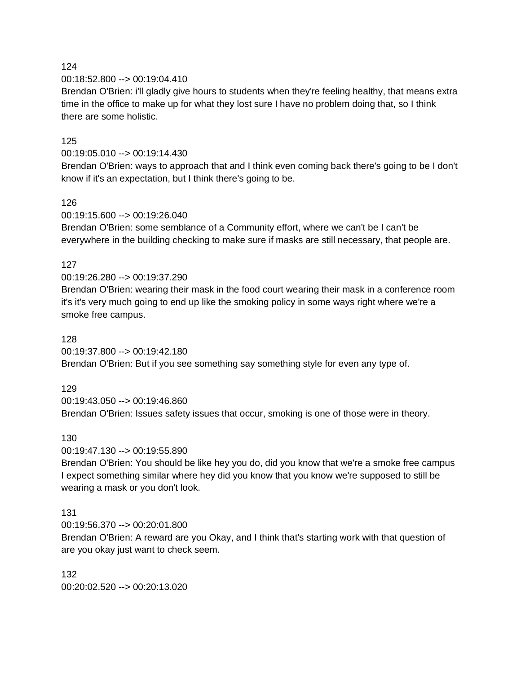00:18:52.800 --> 00:19:04.410

Brendan O'Brien: i'll gladly give hours to students when they're feeling healthy, that means extra time in the office to make up for what they lost sure I have no problem doing that, so I think there are some holistic.

### 125

### 00:19:05.010 --> 00:19:14.430

Brendan O'Brien: ways to approach that and I think even coming back there's going to be I don't know if it's an expectation, but I think there's going to be.

### 126

00:19:15.600 --> 00:19:26.040

Brendan O'Brien: some semblance of a Community effort, where we can't be I can't be everywhere in the building checking to make sure if masks are still necessary, that people are.

### 127

00:19:26.280 --> 00:19:37.290

Brendan O'Brien: wearing their mask in the food court wearing their mask in a conference room it's it's very much going to end up like the smoking policy in some ways right where we're a smoke free campus.

### 128

00:19:37.800 --> 00:19:42.180 Brendan O'Brien: But if you see something say something style for even any type of.

### 129

00:19:43.050 --> 00:19:46.860 Brendan O'Brien: Issues safety issues that occur, smoking is one of those were in theory.

### 130

00:19:47.130 --> 00:19:55.890

Brendan O'Brien: You should be like hey you do, did you know that we're a smoke free campus I expect something similar where hey did you know that you know we're supposed to still be wearing a mask or you don't look.

### 131

00:19:56.370 --> 00:20:01.800

Brendan O'Brien: A reward are you Okay, and I think that's starting work with that question of are you okay just want to check seem.

132 00:20:02.520 --> 00:20:13.020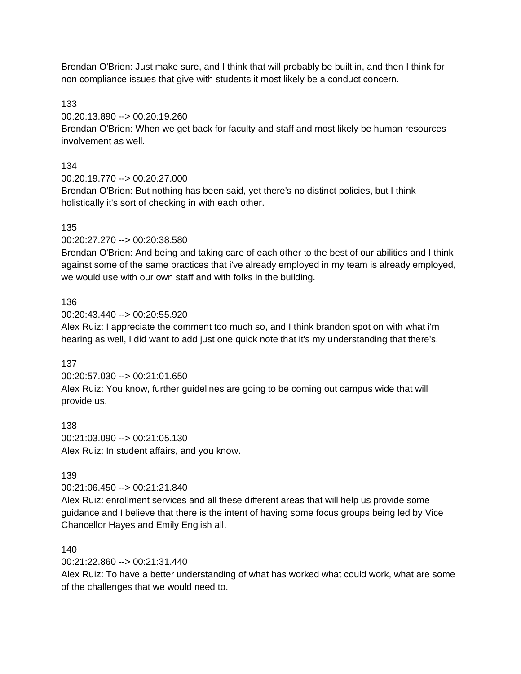Brendan O'Brien: Just make sure, and I think that will probably be built in, and then I think for non compliance issues that give with students it most likely be a conduct concern.

133

00:20:13.890 --> 00:20:19.260

Brendan O'Brien: When we get back for faculty and staff and most likely be human resources involvement as well.

# 134

00:20:19.770 --> 00:20:27.000

Brendan O'Brien: But nothing has been said, yet there's no distinct policies, but I think holistically it's sort of checking in with each other.

# 135

00:20:27.270 --> 00:20:38.580

Brendan O'Brien: And being and taking care of each other to the best of our abilities and I think against some of the same practices that i've already employed in my team is already employed, we would use with our own staff and with folks in the building.

# 136

00:20:43.440 --> 00:20:55.920

Alex Ruiz: I appreciate the comment too much so, and I think brandon spot on with what i'm hearing as well, I did want to add just one quick note that it's my understanding that there's.

## 137

00:20:57.030 --> 00:21:01.650 Alex Ruiz: You know, further guidelines are going to be coming out campus wide that will provide us.

138 00:21:03.090 --> 00:21:05.130 Alex Ruiz: In student affairs, and you know.

## 139

00:21:06.450 --> 00:21:21.840

Alex Ruiz: enrollment services and all these different areas that will help us provide some guidance and I believe that there is the intent of having some focus groups being led by Vice Chancellor Hayes and Emily English all.

## 140

00:21:22.860 --> 00:21:31.440

Alex Ruiz: To have a better understanding of what has worked what could work, what are some of the challenges that we would need to.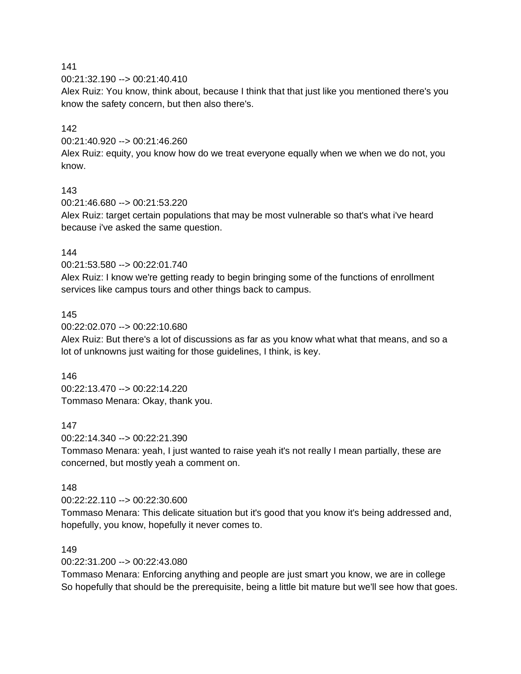00:21:32.190 --> 00:21:40.410

Alex Ruiz: You know, think about, because I think that that just like you mentioned there's you know the safety concern, but then also there's.

### 142

00:21:40.920 --> 00:21:46.260

Alex Ruiz: equity, you know how do we treat everyone equally when we when we do not, you know.

### 143

00:21:46.680 --> 00:21:53.220

Alex Ruiz: target certain populations that may be most vulnerable so that's what i've heard because i've asked the same question.

### 144

00:21:53.580 --> 00:22:01.740

Alex Ruiz: I know we're getting ready to begin bringing some of the functions of enrollment services like campus tours and other things back to campus.

#### 145

00:22:02.070 --> 00:22:10.680

Alex Ruiz: But there's a lot of discussions as far as you know what what that means, and so a lot of unknowns just waiting for those guidelines, I think, is key.

#### 146

00:22:13.470 --> 00:22:14.220 Tommaso Menara: Okay, thank you.

### 147

00:22:14.340 --> 00:22:21.390

Tommaso Menara: yeah, I just wanted to raise yeah it's not really I mean partially, these are concerned, but mostly yeah a comment on.

### 148

00:22:22.110 --> 00:22:30.600

Tommaso Menara: This delicate situation but it's good that you know it's being addressed and, hopefully, you know, hopefully it never comes to.

### 149

00:22:31.200 --> 00:22:43.080

Tommaso Menara: Enforcing anything and people are just smart you know, we are in college So hopefully that should be the prerequisite, being a little bit mature but we'll see how that goes.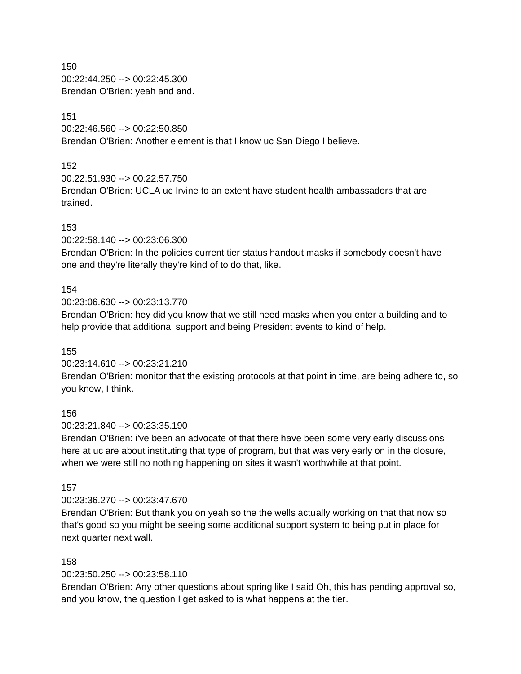150 00:22:44.250 --> 00:22:45.300 Brendan O'Brien: yeah and and.

## 151

00:22:46.560 --> 00:22:50.850 Brendan O'Brien: Another element is that I know uc San Diego I believe.

## 152

00:22:51.930 --> 00:22:57.750

Brendan O'Brien: UCLA uc Irvine to an extent have student health ambassadors that are trained.

# 153

00:22:58.140 --> 00:23:06.300

Brendan O'Brien: In the policies current tier status handout masks if somebody doesn't have one and they're literally they're kind of to do that, like.

# 154

00:23:06.630 --> 00:23:13.770

Brendan O'Brien: hey did you know that we still need masks when you enter a building and to help provide that additional support and being President events to kind of help.

## 155

00:23:14.610 --> 00:23:21.210

Brendan O'Brien: monitor that the existing protocols at that point in time, are being adhere to, so you know, I think.

## 156

00:23:21.840 --> 00:23:35.190

Brendan O'Brien: i've been an advocate of that there have been some very early discussions here at uc are about instituting that type of program, but that was very early on in the closure, when we were still no nothing happening on sites it wasn't worthwhile at that point.

## 157

00:23:36.270 --> 00:23:47.670

Brendan O'Brien: But thank you on yeah so the the wells actually working on that that now so that's good so you might be seeing some additional support system to being put in place for next quarter next wall.

## 158

00:23:50.250 --> 00:23:58.110

Brendan O'Brien: Any other questions about spring like I said Oh, this has pending approval so, and you know, the question I get asked to is what happens at the tier.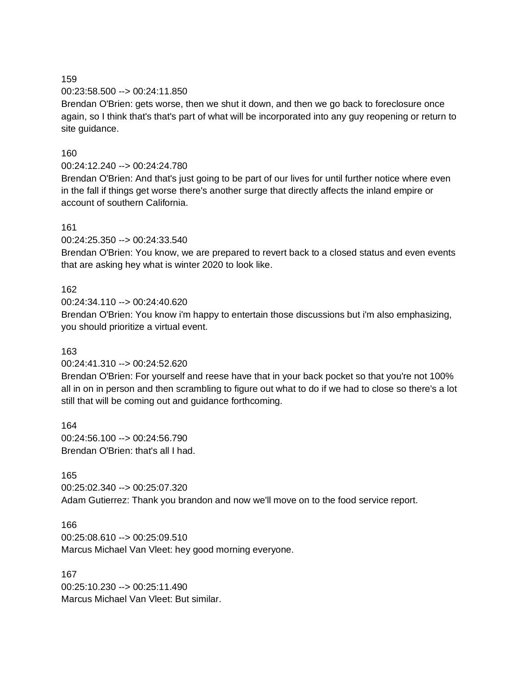00:23:58.500 --> 00:24:11.850

Brendan O'Brien: gets worse, then we shut it down, and then we go back to foreclosure once again, so I think that's that's part of what will be incorporated into any guy reopening or return to site guidance.

### 160

00:24:12.240 --> 00:24:24.780

Brendan O'Brien: And that's just going to be part of our lives for until further notice where even in the fall if things get worse there's another surge that directly affects the inland empire or account of southern California.

### 161

00:24:25.350 --> 00:24:33.540

Brendan O'Brien: You know, we are prepared to revert back to a closed status and even events that are asking hey what is winter 2020 to look like.

### 162

00:24:34.110 --> 00:24:40.620

Brendan O'Brien: You know i'm happy to entertain those discussions but i'm also emphasizing, you should prioritize a virtual event.

### 163

### 00:24:41.310 --> 00:24:52.620

Brendan O'Brien: For yourself and reese have that in your back pocket so that you're not 100% all in on in person and then scrambling to figure out what to do if we had to close so there's a lot still that will be coming out and guidance forthcoming.

164 00:24:56.100 --> 00:24:56.790 Brendan O'Brien: that's all I had.

#### 165

00:25:02.340 --> 00:25:07.320 Adam Gutierrez: Thank you brandon and now we'll move on to the food service report.

### 166

00:25:08.610 --> 00:25:09.510

Marcus Michael Van Vleet: hey good morning everyone.

#### 167

00:25:10.230 --> 00:25:11.490 Marcus Michael Van Vleet: But similar.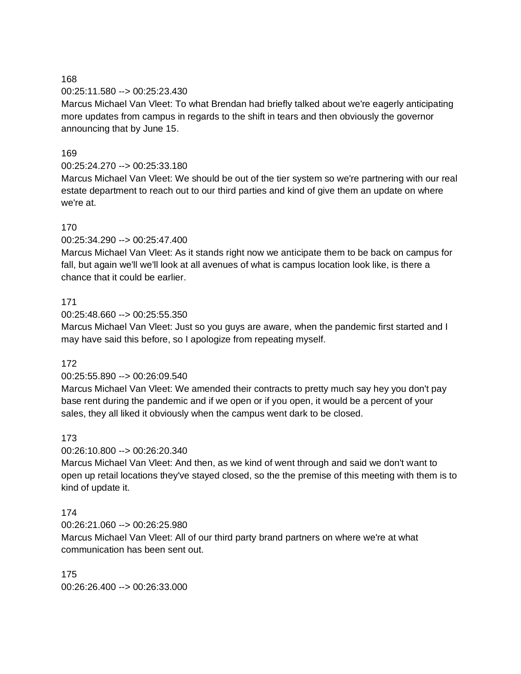### 00:25:11.580 --> 00:25:23.430

Marcus Michael Van Vleet: To what Brendan had briefly talked about we're eagerly anticipating more updates from campus in regards to the shift in tears and then obviously the governor announcing that by June 15.

#### 169

### 00:25:24.270 --> 00:25:33.180

Marcus Michael Van Vleet: We should be out of the tier system so we're partnering with our real estate department to reach out to our third parties and kind of give them an update on where we're at.

### 170

00:25:34.290 --> 00:25:47.400

Marcus Michael Van Vleet: As it stands right now we anticipate them to be back on campus for fall, but again we'll we'll look at all avenues of what is campus location look like, is there a chance that it could be earlier.

#### 171

00:25:48.660 --> 00:25:55.350

Marcus Michael Van Vleet: Just so you guys are aware, when the pandemic first started and I may have said this before, so I apologize from repeating myself.

### 172

#### 00:25:55.890 --> 00:26:09.540

Marcus Michael Van Vleet: We amended their contracts to pretty much say hey you don't pay base rent during the pandemic and if we open or if you open, it would be a percent of your sales, they all liked it obviously when the campus went dark to be closed.

#### 173

00:26:10.800 --> 00:26:20.340

Marcus Michael Van Vleet: And then, as we kind of went through and said we don't want to open up retail locations they've stayed closed, so the the premise of this meeting with them is to kind of update it.

#### 174

00:26:21.060 --> 00:26:25.980

Marcus Michael Van Vleet: All of our third party brand partners on where we're at what communication has been sent out.

175 00:26:26.400 --> 00:26:33.000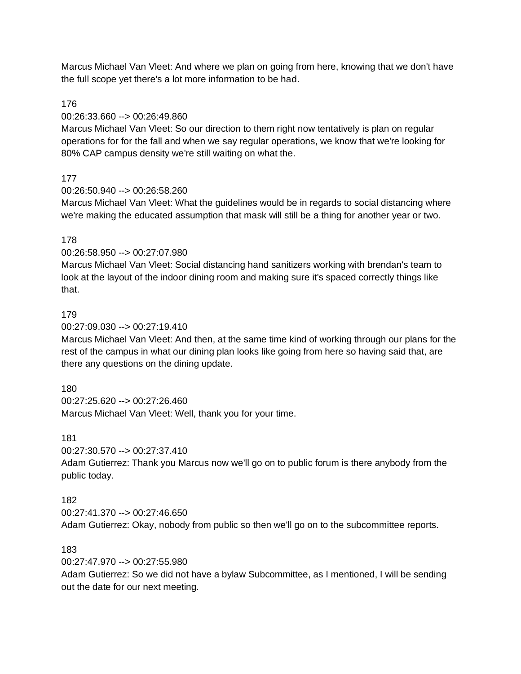Marcus Michael Van Vleet: And where we plan on going from here, knowing that we don't have the full scope yet there's a lot more information to be had.

### 176

### 00:26:33.660 --> 00:26:49.860

Marcus Michael Van Vleet: So our direction to them right now tentatively is plan on regular operations for for the fall and when we say regular operations, we know that we're looking for 80% CAP campus density we're still waiting on what the.

## 177

## 00:26:50.940 --> 00:26:58.260

Marcus Michael Van Vleet: What the guidelines would be in regards to social distancing where we're making the educated assumption that mask will still be a thing for another year or two.

## 178

## 00:26:58.950 --> 00:27:07.980

Marcus Michael Van Vleet: Social distancing hand sanitizers working with brendan's team to look at the layout of the indoor dining room and making sure it's spaced correctly things like that.

### 179

### 00:27:09.030 --> 00:27:19.410

Marcus Michael Van Vleet: And then, at the same time kind of working through our plans for the rest of the campus in what our dining plan looks like going from here so having said that, are there any questions on the dining update.

## 180

00:27:25.620 --> 00:27:26.460 Marcus Michael Van Vleet: Well, thank you for your time.

### 181

00:27:30.570 --> 00:27:37.410

Adam Gutierrez: Thank you Marcus now we'll go on to public forum is there anybody from the public today.

## 182

00:27:41.370 --> 00:27:46.650 Adam Gutierrez: Okay, nobody from public so then we'll go on to the subcommittee reports.

## 183

00:27:47.970 --> 00:27:55.980

Adam Gutierrez: So we did not have a bylaw Subcommittee, as I mentioned, I will be sending out the date for our next meeting.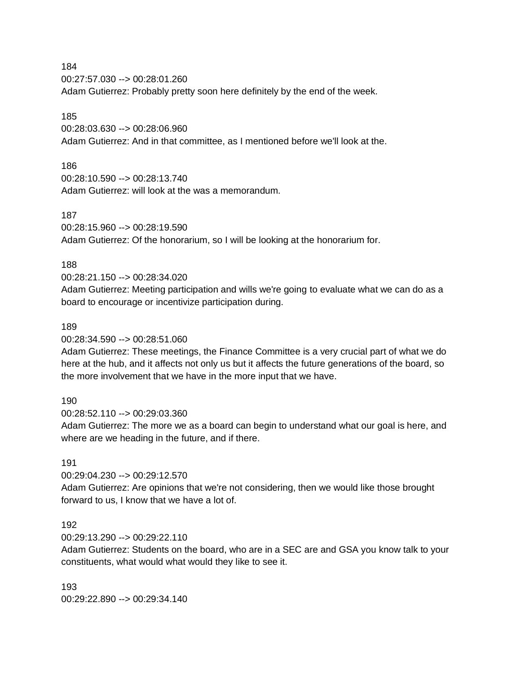00:27:57.030 --> 00:28:01.260 Adam Gutierrez: Probably pretty soon here definitely by the end of the week.

### 185

00:28:03.630 --> 00:28:06.960 Adam Gutierrez: And in that committee, as I mentioned before we'll look at the.

### 186

00:28:10.590 --> 00:28:13.740 Adam Gutierrez: will look at the was a memorandum.

### 187

00:28:15.960 --> 00:28:19.590

Adam Gutierrez: Of the honorarium, so I will be looking at the honorarium for.

### 188

00:28:21.150 --> 00:28:34.020

Adam Gutierrez: Meeting participation and wills we're going to evaluate what we can do as a board to encourage or incentivize participation during.

### 189

00:28:34.590 --> 00:28:51.060

Adam Gutierrez: These meetings, the Finance Committee is a very crucial part of what we do here at the hub, and it affects not only us but it affects the future generations of the board, so the more involvement that we have in the more input that we have.

### 190

00:28:52.110 --> 00:29:03.360

Adam Gutierrez: The more we as a board can begin to understand what our goal is here, and where are we heading in the future, and if there.

### 191

00:29:04.230 --> 00:29:12.570

Adam Gutierrez: Are opinions that we're not considering, then we would like those brought forward to us, I know that we have a lot of.

### 192

00:29:13.290 --> 00:29:22.110

Adam Gutierrez: Students on the board, who are in a SEC are and GSA you know talk to your constituents, what would what would they like to see it.

193 00:29:22.890 --> 00:29:34.140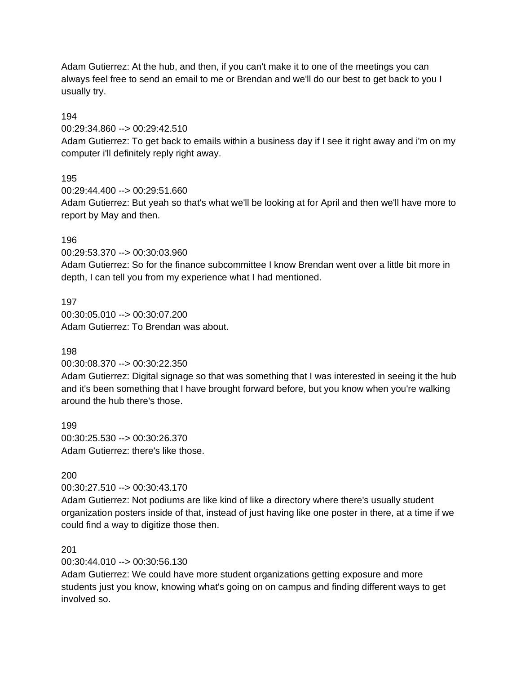Adam Gutierrez: At the hub, and then, if you can't make it to one of the meetings you can always feel free to send an email to me or Brendan and we'll do our best to get back to you I usually try.

### 194

00:29:34.860 --> 00:29:42.510

Adam Gutierrez: To get back to emails within a business day if I see it right away and i'm on my computer i'll definitely reply right away.

## 195

00:29:44.400 --> 00:29:51.660

Adam Gutierrez: But yeah so that's what we'll be looking at for April and then we'll have more to report by May and then.

### 196

00:29:53.370 --> 00:30:03.960

Adam Gutierrez: So for the finance subcommittee I know Brendan went over a little bit more in depth, I can tell you from my experience what I had mentioned.

197 00:30:05.010 --> 00:30:07.200 Adam Gutierrez: To Brendan was about.

## 198

## 00:30:08.370 --> 00:30:22.350

Adam Gutierrez: Digital signage so that was something that I was interested in seeing it the hub and it's been something that I have brought forward before, but you know when you're walking around the hub there's those.

199 00:30:25.530 --> 00:30:26.370 Adam Gutierrez: there's like those.

## 200

00:30:27.510 --> 00:30:43.170

Adam Gutierrez: Not podiums are like kind of like a directory where there's usually student organization posters inside of that, instead of just having like one poster in there, at a time if we could find a way to digitize those then.

## 201

00:30:44.010 --> 00:30:56.130

Adam Gutierrez: We could have more student organizations getting exposure and more students just you know, knowing what's going on on campus and finding different ways to get involved so.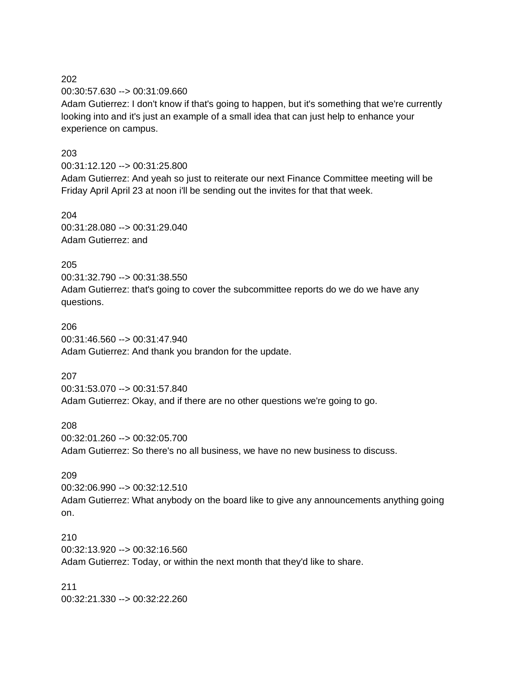00:30:57.630 --> 00:31:09.660

Adam Gutierrez: I don't know if that's going to happen, but it's something that we're currently looking into and it's just an example of a small idea that can just help to enhance your experience on campus.

#### 203

00:31:12.120 --> 00:31:25.800 Adam Gutierrez: And yeah so just to reiterate our next Finance Committee meeting will be Friday April April 23 at noon i'll be sending out the invites for that that week.

## 204

00:31:28.080 --> 00:31:29.040 Adam Gutierrez: and

#### 205

00:31:32.790 --> 00:31:38.550 Adam Gutierrez: that's going to cover the subcommittee reports do we do we have any questions.

### 206

00:31:46.560 --> 00:31:47.940 Adam Gutierrez: And thank you brandon for the update.

#### 207

00:31:53.070 --> 00:31:57.840 Adam Gutierrez: Okay, and if there are no other questions we're going to go.

### 208

00:32:01.260 --> 00:32:05.700

Adam Gutierrez: So there's no all business, we have no new business to discuss.

### 209

00:32:06.990 --> 00:32:12.510 Adam Gutierrez: What anybody on the board like to give any announcements anything going on.

### 210 00:32:13.920 --> 00:32:16.560

Adam Gutierrez: Today, or within the next month that they'd like to share.

### 211 00:32:21.330 --> 00:32:22.260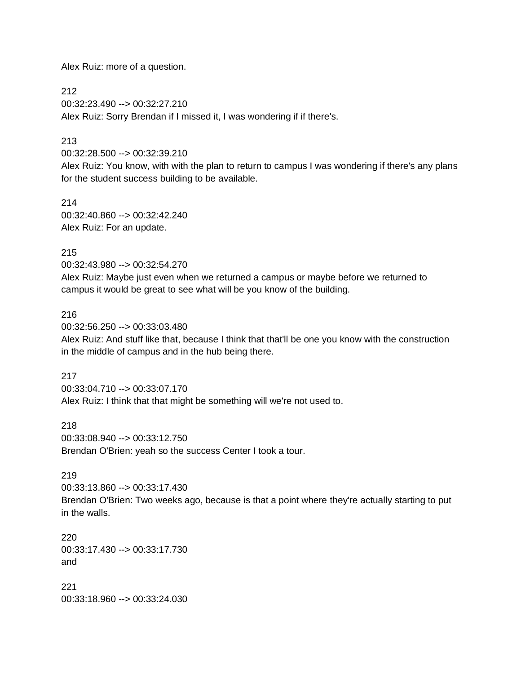Alex Ruiz: more of a question.

212 00:32:23.490 --> 00:32:27.210 Alex Ruiz: Sorry Brendan if I missed it, I was wondering if if there's.

# 213

00:32:28.500 --> 00:32:39.210

Alex Ruiz: You know, with with the plan to return to campus I was wondering if there's any plans for the student success building to be available.

214 00:32:40.860 --> 00:32:42.240 Alex Ruiz: For an update.

### 215

00:32:43.980 --> 00:32:54.270 Alex Ruiz: Maybe just even when we returned a campus or maybe before we returned to campus it would be great to see what will be you know of the building.

### 216

00:32:56.250 --> 00:33:03.480

Alex Ruiz: And stuff like that, because I think that that'll be one you know with the construction in the middle of campus and in the hub being there.

### 217

00:33:04.710 --> 00:33:07.170 Alex Ruiz: I think that that might be something will we're not used to.

218

00:33:08.940 --> 00:33:12.750 Brendan O'Brien: yeah so the success Center I took a tour.

### 219

00:33:13.860 --> 00:33:17.430 Brendan O'Brien: Two weeks ago, because is that a point where they're actually starting to put in the walls.

220 00:33:17.430 --> 00:33:17.730 and

221 00:33:18.960 --> 00:33:24.030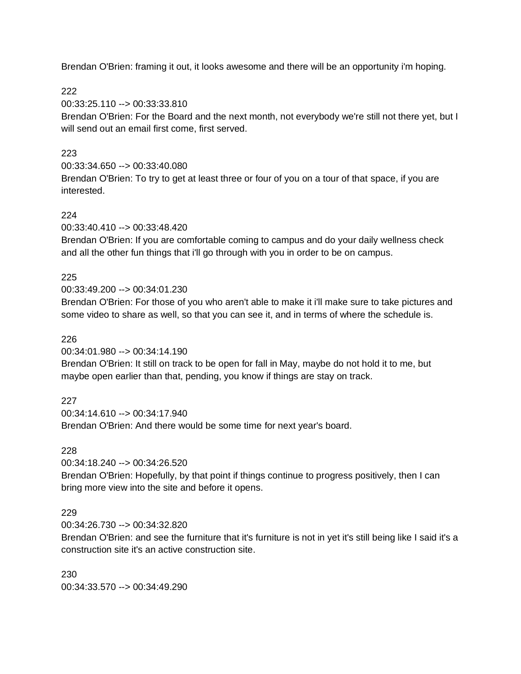Brendan O'Brien: framing it out, it looks awesome and there will be an opportunity i'm hoping.

222

00:33:25.110 --> 00:33:33.810

Brendan O'Brien: For the Board and the next month, not everybody we're still not there yet, but I will send out an email first come, first served.

## 223

00:33:34.650 --> 00:33:40.080 Brendan O'Brien: To try to get at least three or four of you on a tour of that space, if you are interested.

# 224

00:33:40.410 --> 00:33:48.420

Brendan O'Brien: If you are comfortable coming to campus and do your daily wellness check and all the other fun things that i'll go through with you in order to be on campus.

# 225

00:33:49.200 --> 00:34:01.230

Brendan O'Brien: For those of you who aren't able to make it i'll make sure to take pictures and some video to share as well, so that you can see it, and in terms of where the schedule is.

# 226

00:34:01.980 --> 00:34:14.190

Brendan O'Brien: It still on track to be open for fall in May, maybe do not hold it to me, but maybe open earlier than that, pending, you know if things are stay on track.

## 227

00:34:14.610 --> 00:34:17.940 Brendan O'Brien: And there would be some time for next year's board.

## 228

00:34:18.240 --> 00:34:26.520 Brendan O'Brien: Hopefully, by that point if things continue to progress positively, then I can bring more view into the site and before it opens.

# 229

00:34:26.730 --> 00:34:32.820

Brendan O'Brien: and see the furniture that it's furniture is not in yet it's still being like I said it's a construction site it's an active construction site.

230 00:34:33.570 --> 00:34:49.290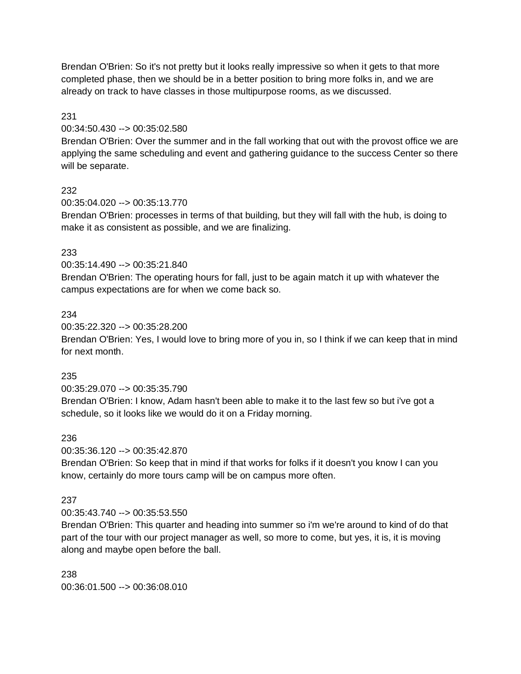Brendan O'Brien: So it's not pretty but it looks really impressive so when it gets to that more completed phase, then we should be in a better position to bring more folks in, and we are already on track to have classes in those multipurpose rooms, as we discussed.

### 231

00:34:50.430 --> 00:35:02.580

Brendan O'Brien: Over the summer and in the fall working that out with the provost office we are applying the same scheduling and event and gathering guidance to the success Center so there will be separate.

### 232

00:35:04.020 --> 00:35:13.770

Brendan O'Brien: processes in terms of that building, but they will fall with the hub, is doing to make it as consistent as possible, and we are finalizing.

### 233

00:35:14.490 --> 00:35:21.840

Brendan O'Brien: The operating hours for fall, just to be again match it up with whatever the campus expectations are for when we come back so.

### 234

00:35:22.320 --> 00:35:28.200

Brendan O'Brien: Yes, I would love to bring more of you in, so I think if we can keep that in mind for next month.

### 235

00:35:29.070 --> 00:35:35.790 Brendan O'Brien: I know, Adam hasn't been able to make it to the last few so but i've got a schedule, so it looks like we would do it on a Friday morning.

### 236

00:35:36.120 --> 00:35:42.870

Brendan O'Brien: So keep that in mind if that works for folks if it doesn't you know I can you know, certainly do more tours camp will be on campus more often.

## 237

00:35:43.740 --> 00:35:53.550

Brendan O'Brien: This quarter and heading into summer so i'm we're around to kind of do that part of the tour with our project manager as well, so more to come, but yes, it is, it is moving along and maybe open before the ball.

238 00:36:01.500 --> 00:36:08.010